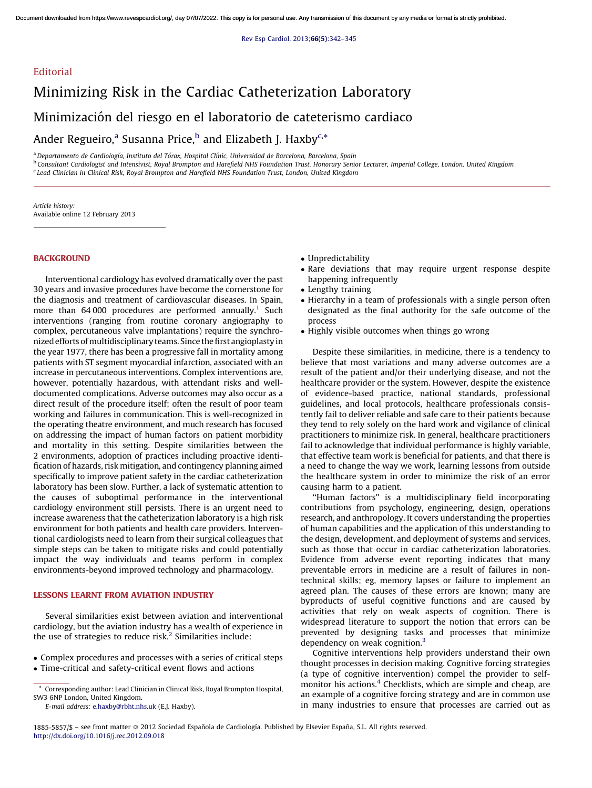## **Editorial**

# Minimizing Risk in the Cardiac Catheterization Laboratory Minimización del riesgo en el laboratorio de cateterismo cardiaco Ander Regueiro,<sup>a</sup> Susanna Price,<sup>b</sup> and Elizabeth J. Haxby<sup>c,\*</sup>

<sup>a</sup>*Departamento de Cardiologı´a, Instituto del To´rax, Hospital Clı´nic, Universidad de Barcelona, Barcelona, Spain*

<sup>b</sup> Consultant Cardiologist and Intensivist, Royal Brompton and Harefield NHS Foundation Trust, Honorary Senior Lecturer, Imperial College, London, United Kingdom c *Lead Clinician in Clinical Risk, Royal Brompton and Harefield NHS Foundation Trust, London, United Kingdom*

*Article history:* Available online 12 February 2013

## **BACKGROUND**

Interventional cardiology has evolved dramatically over the past 30 years and invasive procedures have become the cornerstone for the diagnosis and treatment of cardiovascular diseases. In Spain, more than 64000 procedures are performed annually.<sup>[1](#page-3-0)</sup> Such interventions (ranging from routine coronary angiography to complex, percutaneous valve implantations) require the synchronizedefforts ofmultidisciplinaryteams. Since thefirst angioplasty in the year 1977, there has been a progressive fall in mortality among patients with ST segment myocardial infarction, associated with an increase in percutaneous interventions. Complex interventions are, however, potentially hazardous, with attendant risks and welldocumented complications. Adverse outcomes may also occur as a direct result of the procedure itself; often the result of poor team working and failures in communication. This is well-recognized in the operating theatre environment, and much research has focused on addressing the impact of human factors on patient morbidity and mortality in this setting. Despite similarities between the 2 environments, adoption of practices including proactive identification of hazards, risk mitigation, and contingency planning aimed specifically to improve patient safety in the cardiac catheterization laboratory has been slow. Further, a lack of systematic attention to the causes of suboptimal performance in the interventional cardiology environment still persists. There is an urgent need to increase awareness that the catheterization laboratory is a high risk environment for both patients and health care providers. Interventional cardiologists need to learn from their surgical colleagues that simple steps can be taken to mitigate risks and could potentially impact the way individuals and teams perform in complex environments-beyond improved technology and pharmacology.

#### LESSONS LEARNT FROM AVIATION INDUSTRY

Several similarities exist between aviation and interventional cardiology, but the aviation industry has a wealth of experience in the use of strategies to reduce risk.<sup>[2](#page-3-0)</sup> Similarities include:

- Complex procedures and processes with a series of critical steps

- Unpredictability
- Rare deviations that may require urgent response despite happening infrequently
- Lengthy training
- Hierarchy in a team of professionals with a single person often designated as the final authority for the safe outcome of the process
- Highly visible outcomes when things go wrong

Despite these similarities, in medicine, there is a tendency to believe that most variations and many adverse outcomes are a result of the patient and/or their underlying disease, and not the healthcare provider or the system. However, despite the existence of evidence-based practice, national standards, professional guidelines, and local protocols, healthcare professionals consistently fail to deliver reliable and safe care to their patients because they tend to rely solely on the hard work and vigilance of clinical practitioners to minimize risk. In general, healthcare practitioners fail to acknowledge that individual performance is highly variable, that effective team work is beneficial for patients, and that there is a need to change the way we work, learning lessons from outside the healthcare system in order to minimize the risk of an error causing harm to a patient.

''Human factors'' is a multidisciplinary field incorporating contributions from psychology, engineering, design, operations research, and anthropology. It covers understanding the properties of human capabilities and the application of this understanding to the design, development, and deployment of systems and services, such as those that occur in cardiac catheterization laboratories. Evidence from adverse event reporting indicates that many preventable errors in medicine are a result of failures in nontechnical skills; eg, memory lapses or failure to implement an agreed plan. The causes of these errors are known; many are byproducts of useful cognitive functions and are caused by activities that rely on weak aspects of cognition. There is widespread literature to support the notion that errors can be prevented by designing tasks and processes that minimize dependency on weak cognition.<sup>[3](#page-3-0)</sup>

Cognitive interventions help providers understand their own thought processes in decision making. Cognitive forcing strategies (a type of cognitive intervention) compel the provider to self-monitor his actions.<sup>[4](#page-3-0)</sup> Checklists, which are simple and cheap, are an example of a cognitive forcing strategy and are in common use in many industries to ensure that processes are carried out as

<sup>•</sup> Time-critical and safety-critical event flows and actions

Corresponding author: Lead Clinician in Clinical Risk, Royal Brompton Hospital, SW3 6NP London, United Kingdom.

*E-mail address:* [e.haxby@rbht.nhs.uk](mailto:e.haxby@rbht.nhs.uk) (E.J. Haxby).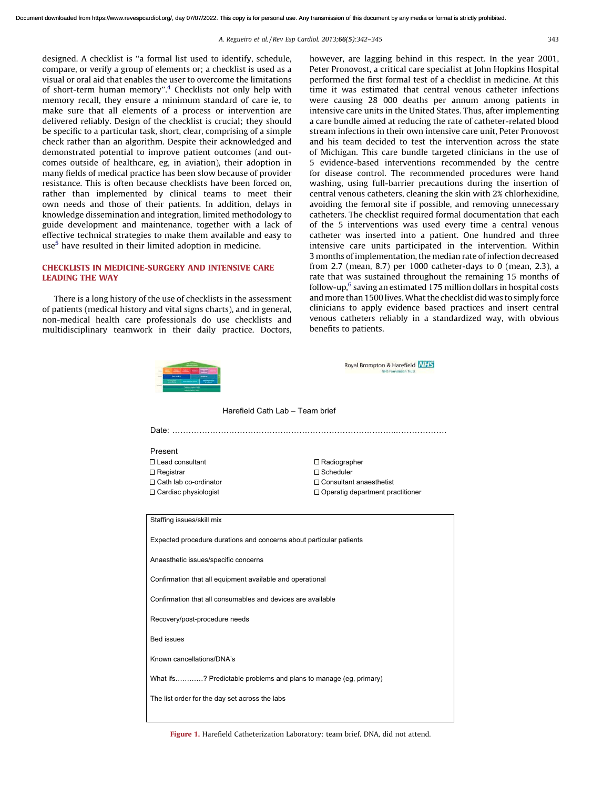<span id="page-1-0"></span>designed. A checklist is ''a formal list used to identify, schedule, compare, or verify a group of elements or; a checklist is used as a visual or oral aid that enables the user to overcome the limitations of short-term human memory".<sup>[4](#page-3-0)</sup> Checklists not only help with memory recall, they ensure a minimum standard of care ie, to make sure that all elements of a process or intervention are delivered reliably. Design of the checklist is crucial; they should be specific to a particular task, short, clear, comprising of a simple check rather than an algorithm. Despite their acknowledged and demonstrated potential to improve patient outcomes (and outcomes outside of healthcare, eg, in aviation), their adoption in many fields of medical practice has been slow because of provider resistance. This is often because checklists have been forced on, rather than implemented by clinical teams to meet their own needs and those of their patients. In addition, delays in knowledge dissemination and integration, limited methodology to guide development and maintenance, together with a lack of effective technical strategies to make them available and easy to use<sup>[5](#page-3-0)</sup> have resulted in their limited adoption in medicine.

## CHECKLISTS IN MEDICINE-SURGERY AND INTENSIVE CARE LEADING THE WAY

There is a long history of the use of checklists in the assessment of patients (medical history and vital signs charts), and in general, non-medical health care professionals do use checklists and multidisciplinary teamwork in their daily practice. Doctors,

however, are lagging behind in this respect. In the year 2001, Peter Pronovost, a critical care specialist at John Hopkins Hospital performed the first formal test of a checklist in medicine. At this time it was estimated that central venous catheter infections were causing 28 000 deaths per annum among patients in intensive care units in the United States. Thus, after implementing a care bundle aimed at reducing the rate of catheter-related blood stream infections in their own intensive care unit, Peter Pronovost and his team decided to test the intervention across the state of Michigan. This care bundle targeted clinicians in the use of 5 evidence-based interventions recommended by the centre for disease control. The recommended procedures were hand washing, using full-barrier precautions during the insertion of central venous catheters, cleaning the skin with 2% chlorhexidine, avoiding the femoral site if possible, and removing unnecessary catheters. The checklist required formal documentation that each of the 5 interventions was used every time a central venous catheter was inserted into a patient. One hundred and three intensive care units participated in the intervention. Within 3 months of implementation, the median rate of infection decreased from 2.7 (mean, 8.7) per 1000 catheter-days to 0 (mean, 2.3), a rate that was sustained throughout the remaining 15 months of follow-up,<sup>[6](#page-3-0)</sup> saving an estimated 175 million dollars in hospital costs and more than 1500 lives. What the checklist did was to simply force clinicians to apply evidence based practices and insert central venous catheters reliably in a standardized way, with obvious benefits to patients.



Royal Brompton & Harefield NIS

Harefield Cath Lab – Team brief

Date: ………………………………………………………………………..……………….

- Present  $\Box$  Lead consultant  $\Box$  Radiographer □ Registrar Scheduler
- □ Cath lab co-ordinator Consultant anaesthetist  $\square$  Cardiac physiologist  $\square$  Operatig department practitioner

Staffing issues/skill mix

| Expected procedure durations and concerns about particular patients |  |  |  |
|---------------------------------------------------------------------|--|--|--|
| Anaesthetic issues/specific concerns                                |  |  |  |
| Confirmation that all equipment available and operational           |  |  |  |
| Confirmation that all consumables and devices are available         |  |  |  |
| Recovery/post-procedure needs                                       |  |  |  |
| Bed issues                                                          |  |  |  |
| Known cancellations/DNA's                                           |  |  |  |
| What ifs? Predictable problems and plans to manage (eg, primary)    |  |  |  |
| The list order for the day set across the labs                      |  |  |  |
|                                                                     |  |  |  |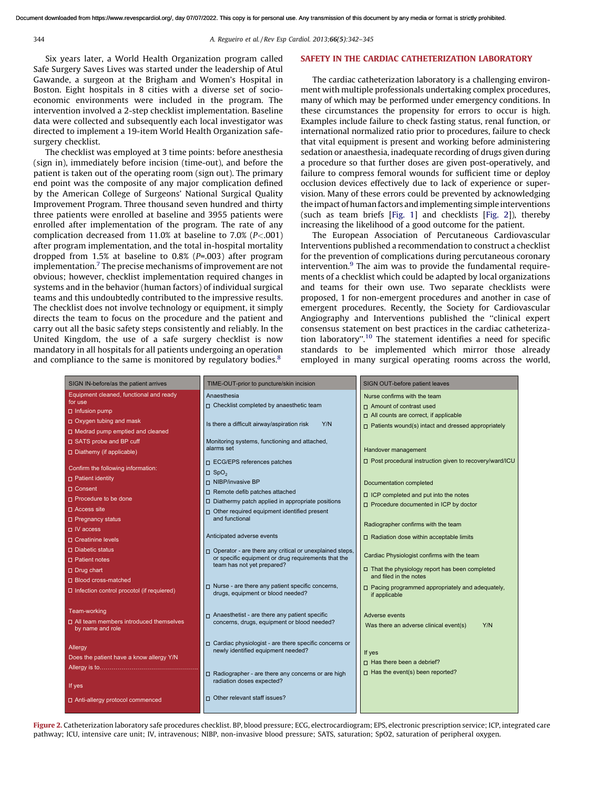Six years later, a World Health Organization program called Safe Surgery Saves Lives was started under the leadership of Atul Gawande, a surgeon at the Brigham and Women's Hospital in Boston. Eight hospitals in 8 cities with a diverse set of socioeconomic environments were included in the program. The intervention involved a 2-step checklist implementation. Baseline data were collected and subsequently each local investigator was directed to implement a 19-item World Health Organization safesurgery checklist.

The checklist was employed at 3 time points: before anesthesia (sign in), immediately before incision (time-out), and before the patient is taken out of the operating room (sign out). The primary end point was the composite of any major complication defined by the American College of Surgeons' National Surgical Quality Improvement Program. Three thousand seven hundred and thirty three patients were enrolled at baseline and 3955 patients were enrolled after implementation of the program. The rate of any complication decreased from 11.0% at baseline to 7.0% (*P*<.001) after program implementation, and the total in-hospital mortality dropped from 1.5% at baseline to 0.8% (*P*=.003) after program implementation.<sup>[7](#page-3-0)</sup> The precise mechanisms of improvement are not obvious; however, checklist implementation required changes in systems and in the behavior (human factors) of individual surgical teams and this undoubtedly contributed to the impressive results. The checklist does not involve technology or equipment, it simply directs the team to focus on the procedure and the patient and carry out all the basic safety steps consistently and reliably. In the United Kingdom, the use of a safe surgery checklist is now mandatory in all hospitals for all patients undergoing an operation and compliance to the same is monitored by regulatory bodies. $8$ 

### SAFETY IN THE CARDIAC CATHETERIZATION LABORATORY

The cardiac catheterization laboratory is a challenging environment with multiple professionals undertaking complex procedures, many of which may be performed under emergency conditions. In these circumstances the propensity for errors to occur is high. Examples include failure to check fasting status, renal function, or international normalized ratio prior to procedures, failure to check that vital equipment is present and working before administering sedation or anaesthesia, inadequate recording of drugs given during a procedure so that further doses are given post-operatively, and failure to compress femoral wounds for sufficient time or deploy occlusion devices effectively due to lack of experience or supervision. Many of these errors could be prevented by acknowledging the impact of human factors and implementing simple interventions (such as team briefs [\[Fig.](#page-1-0) 1] and checklists [Fig. 2]), thereby increasing the likelihood of a good outcome for the patient.

The European Association of Percutaneous Cardiovascular Interventions published a recommendation to construct a checklist for the prevention of complications during percutaneous coronary intervention.<sup>[9](#page-3-0)</sup> The aim was to provide the fundamental requirements of a checklist which could be adapted by local organizations and teams for their own use. Two separate checklists were proposed, 1 for non-emergent procedures and another in case of emergent procedures. Recently, the Society for Cardiovascular Angiography and Interventions published the ''clinical expert consensus statement on best practices in the cardiac catheterization laboratory''.[10](#page-3-0) The statement identifies a need for specific standards to be implemented which mirror those already employed in many surgical operating rooms across the world,

| Equipment cleaned, functional and ready<br>Anaesthesia<br>Nurse confirms with the team<br>for use<br>□ Checklist completed by anaesthetic team<br>□ Amount of contrast used<br>$\Box$ Infusion pump<br>$\Box$ All counts are correct, if applicable<br>□ Oxygen tubing and mask<br>Is there a difficult airway/aspiration risk<br>Y/N<br>$\Box$ Patients wound(s) intact and dressed appropriately<br>□ Medrad pump emptied and cleaned<br>□ SATS probe and BP cuff<br>Monitoring systems, functioning and attached,<br>alarms set<br>Handover management<br>Diathemy (if applicable)<br>□ Post procedural instruction given to recovery/ward/ICU<br>ECG/EPS references patches<br>Confirm the following information:<br>$\Box$ SpO <sub>2</sub><br>□ Patient identity<br>□ NIBP/invasive BP<br>Documentation completed<br>□ Consent<br>$\Box$ Remote defib patches attached<br>$\Box$ ICP completed and put into the notes<br>$\Box$ Procedure to be done<br>$\square$ Diathermy patch applied in appropriate positions<br>□ Procedure documented in ICP by doctor<br>$\Box$ Access site<br>□ Other required equipment identified present<br>and functional<br>□ Pregnancy status<br>Radiographer confirms with the team<br>□ IV access<br>Anticipated adverse events<br>Radiation dose within acceptable limits<br>□ Creatinine levels<br>□ Diabetic status<br>□ Operator - are there any critical or unexplained steps,<br>Cardiac Physiologist confirms with the team<br>or specific equipment or drug requirements that the<br>$\Box$ Patient notes<br>team has not yet prepared?<br>$\Box$ That the physiology report has been completed<br>$\Box$ Drug chart<br>and filed in the notes<br>□ Blood cross-matched<br>$\Box$ Nurse - are there any patient specific concerns,<br>$\Box$ Pacing programmed appropriately and adequately,<br>□ Infection control procotol (if requiered)<br>drugs, equipment or blood needed?<br>if applicable<br>Team-working<br>$\Box$ Anaesthetist - are there any patient specific<br>Adverse events<br>□ All team members introduced themselves<br>concerns, drugs, equipment or blood needed?<br>Was there an adverse clinical event(s)<br>Y/N<br>by name and role<br>$\Box$ Cardiac physiologist - are there specific concerns or<br>Allergy<br>newly identified equipment needed?<br>If yes<br>Does the patient have a know allergy Y/N<br>$\Box$ Has there been a debrief?<br>$\Box$ Has the event(s) been reported?<br>$\Box$ Radiographer - are there any concerns or are high<br>radiation doses expected?<br>If yes<br>□ Other relevant staff issues?<br>□ Anti-allergy protocol commenced |                                       |                                          |                                |
|-------------------------------------------------------------------------------------------------------------------------------------------------------------------------------------------------------------------------------------------------------------------------------------------------------------------------------------------------------------------------------------------------------------------------------------------------------------------------------------------------------------------------------------------------------------------------------------------------------------------------------------------------------------------------------------------------------------------------------------------------------------------------------------------------------------------------------------------------------------------------------------------------------------------------------------------------------------------------------------------------------------------------------------------------------------------------------------------------------------------------------------------------------------------------------------------------------------------------------------------------------------------------------------------------------------------------------------------------------------------------------------------------------------------------------------------------------------------------------------------------------------------------------------------------------------------------------------------------------------------------------------------------------------------------------------------------------------------------------------------------------------------------------------------------------------------------------------------------------------------------------------------------------------------------------------------------------------------------------------------------------------------------------------------------------------------------------------------------------------------------------------------------------------------------------------------------------------------------------------------------------------------------------------------------------------------------------------------------------------------------------------------------------------------------------------------------------------------------------------------------------------------------------------------------------------------------------------------------------------------------------------------|---------------------------------------|------------------------------------------|--------------------------------|
|                                                                                                                                                                                                                                                                                                                                                                                                                                                                                                                                                                                                                                                                                                                                                                                                                                                                                                                                                                                                                                                                                                                                                                                                                                                                                                                                                                                                                                                                                                                                                                                                                                                                                                                                                                                                                                                                                                                                                                                                                                                                                                                                                                                                                                                                                                                                                                                                                                                                                                                                                                                                                                           | SIGN IN-before/as the patient arrives | TIME-OUT-prior to puncture/skin incision | SIGN OUT-before patient leaves |
|                                                                                                                                                                                                                                                                                                                                                                                                                                                                                                                                                                                                                                                                                                                                                                                                                                                                                                                                                                                                                                                                                                                                                                                                                                                                                                                                                                                                                                                                                                                                                                                                                                                                                                                                                                                                                                                                                                                                                                                                                                                                                                                                                                                                                                                                                                                                                                                                                                                                                                                                                                                                                                           |                                       |                                          |                                |
|                                                                                                                                                                                                                                                                                                                                                                                                                                                                                                                                                                                                                                                                                                                                                                                                                                                                                                                                                                                                                                                                                                                                                                                                                                                                                                                                                                                                                                                                                                                                                                                                                                                                                                                                                                                                                                                                                                                                                                                                                                                                                                                                                                                                                                                                                                                                                                                                                                                                                                                                                                                                                                           |                                       |                                          |                                |
|                                                                                                                                                                                                                                                                                                                                                                                                                                                                                                                                                                                                                                                                                                                                                                                                                                                                                                                                                                                                                                                                                                                                                                                                                                                                                                                                                                                                                                                                                                                                                                                                                                                                                                                                                                                                                                                                                                                                                                                                                                                                                                                                                                                                                                                                                                                                                                                                                                                                                                                                                                                                                                           |                                       |                                          |                                |
|                                                                                                                                                                                                                                                                                                                                                                                                                                                                                                                                                                                                                                                                                                                                                                                                                                                                                                                                                                                                                                                                                                                                                                                                                                                                                                                                                                                                                                                                                                                                                                                                                                                                                                                                                                                                                                                                                                                                                                                                                                                                                                                                                                                                                                                                                                                                                                                                                                                                                                                                                                                                                                           |                                       |                                          |                                |
|                                                                                                                                                                                                                                                                                                                                                                                                                                                                                                                                                                                                                                                                                                                                                                                                                                                                                                                                                                                                                                                                                                                                                                                                                                                                                                                                                                                                                                                                                                                                                                                                                                                                                                                                                                                                                                                                                                                                                                                                                                                                                                                                                                                                                                                                                                                                                                                                                                                                                                                                                                                                                                           |                                       |                                          |                                |
|                                                                                                                                                                                                                                                                                                                                                                                                                                                                                                                                                                                                                                                                                                                                                                                                                                                                                                                                                                                                                                                                                                                                                                                                                                                                                                                                                                                                                                                                                                                                                                                                                                                                                                                                                                                                                                                                                                                                                                                                                                                                                                                                                                                                                                                                                                                                                                                                                                                                                                                                                                                                                                           |                                       |                                          |                                |
|                                                                                                                                                                                                                                                                                                                                                                                                                                                                                                                                                                                                                                                                                                                                                                                                                                                                                                                                                                                                                                                                                                                                                                                                                                                                                                                                                                                                                                                                                                                                                                                                                                                                                                                                                                                                                                                                                                                                                                                                                                                                                                                                                                                                                                                                                                                                                                                                                                                                                                                                                                                                                                           |                                       |                                          |                                |
|                                                                                                                                                                                                                                                                                                                                                                                                                                                                                                                                                                                                                                                                                                                                                                                                                                                                                                                                                                                                                                                                                                                                                                                                                                                                                                                                                                                                                                                                                                                                                                                                                                                                                                                                                                                                                                                                                                                                                                                                                                                                                                                                                                                                                                                                                                                                                                                                                                                                                                                                                                                                                                           |                                       |                                          |                                |
|                                                                                                                                                                                                                                                                                                                                                                                                                                                                                                                                                                                                                                                                                                                                                                                                                                                                                                                                                                                                                                                                                                                                                                                                                                                                                                                                                                                                                                                                                                                                                                                                                                                                                                                                                                                                                                                                                                                                                                                                                                                                                                                                                                                                                                                                                                                                                                                                                                                                                                                                                                                                                                           |                                       |                                          |                                |
|                                                                                                                                                                                                                                                                                                                                                                                                                                                                                                                                                                                                                                                                                                                                                                                                                                                                                                                                                                                                                                                                                                                                                                                                                                                                                                                                                                                                                                                                                                                                                                                                                                                                                                                                                                                                                                                                                                                                                                                                                                                                                                                                                                                                                                                                                                                                                                                                                                                                                                                                                                                                                                           |                                       |                                          |                                |
|                                                                                                                                                                                                                                                                                                                                                                                                                                                                                                                                                                                                                                                                                                                                                                                                                                                                                                                                                                                                                                                                                                                                                                                                                                                                                                                                                                                                                                                                                                                                                                                                                                                                                                                                                                                                                                                                                                                                                                                                                                                                                                                                                                                                                                                                                                                                                                                                                                                                                                                                                                                                                                           |                                       |                                          |                                |
|                                                                                                                                                                                                                                                                                                                                                                                                                                                                                                                                                                                                                                                                                                                                                                                                                                                                                                                                                                                                                                                                                                                                                                                                                                                                                                                                                                                                                                                                                                                                                                                                                                                                                                                                                                                                                                                                                                                                                                                                                                                                                                                                                                                                                                                                                                                                                                                                                                                                                                                                                                                                                                           |                                       |                                          |                                |
|                                                                                                                                                                                                                                                                                                                                                                                                                                                                                                                                                                                                                                                                                                                                                                                                                                                                                                                                                                                                                                                                                                                                                                                                                                                                                                                                                                                                                                                                                                                                                                                                                                                                                                                                                                                                                                                                                                                                                                                                                                                                                                                                                                                                                                                                                                                                                                                                                                                                                                                                                                                                                                           |                                       |                                          |                                |
|                                                                                                                                                                                                                                                                                                                                                                                                                                                                                                                                                                                                                                                                                                                                                                                                                                                                                                                                                                                                                                                                                                                                                                                                                                                                                                                                                                                                                                                                                                                                                                                                                                                                                                                                                                                                                                                                                                                                                                                                                                                                                                                                                                                                                                                                                                                                                                                                                                                                                                                                                                                                                                           |                                       |                                          |                                |
|                                                                                                                                                                                                                                                                                                                                                                                                                                                                                                                                                                                                                                                                                                                                                                                                                                                                                                                                                                                                                                                                                                                                                                                                                                                                                                                                                                                                                                                                                                                                                                                                                                                                                                                                                                                                                                                                                                                                                                                                                                                                                                                                                                                                                                                                                                                                                                                                                                                                                                                                                                                                                                           |                                       |                                          |                                |
|                                                                                                                                                                                                                                                                                                                                                                                                                                                                                                                                                                                                                                                                                                                                                                                                                                                                                                                                                                                                                                                                                                                                                                                                                                                                                                                                                                                                                                                                                                                                                                                                                                                                                                                                                                                                                                                                                                                                                                                                                                                                                                                                                                                                                                                                                                                                                                                                                                                                                                                                                                                                                                           |                                       |                                          |                                |
|                                                                                                                                                                                                                                                                                                                                                                                                                                                                                                                                                                                                                                                                                                                                                                                                                                                                                                                                                                                                                                                                                                                                                                                                                                                                                                                                                                                                                                                                                                                                                                                                                                                                                                                                                                                                                                                                                                                                                                                                                                                                                                                                                                                                                                                                                                                                                                                                                                                                                                                                                                                                                                           |                                       |                                          |                                |
|                                                                                                                                                                                                                                                                                                                                                                                                                                                                                                                                                                                                                                                                                                                                                                                                                                                                                                                                                                                                                                                                                                                                                                                                                                                                                                                                                                                                                                                                                                                                                                                                                                                                                                                                                                                                                                                                                                                                                                                                                                                                                                                                                                                                                                                                                                                                                                                                                                                                                                                                                                                                                                           |                                       |                                          |                                |
|                                                                                                                                                                                                                                                                                                                                                                                                                                                                                                                                                                                                                                                                                                                                                                                                                                                                                                                                                                                                                                                                                                                                                                                                                                                                                                                                                                                                                                                                                                                                                                                                                                                                                                                                                                                                                                                                                                                                                                                                                                                                                                                                                                                                                                                                                                                                                                                                                                                                                                                                                                                                                                           |                                       |                                          |                                |
|                                                                                                                                                                                                                                                                                                                                                                                                                                                                                                                                                                                                                                                                                                                                                                                                                                                                                                                                                                                                                                                                                                                                                                                                                                                                                                                                                                                                                                                                                                                                                                                                                                                                                                                                                                                                                                                                                                                                                                                                                                                                                                                                                                                                                                                                                                                                                                                                                                                                                                                                                                                                                                           |                                       |                                          |                                |
|                                                                                                                                                                                                                                                                                                                                                                                                                                                                                                                                                                                                                                                                                                                                                                                                                                                                                                                                                                                                                                                                                                                                                                                                                                                                                                                                                                                                                                                                                                                                                                                                                                                                                                                                                                                                                                                                                                                                                                                                                                                                                                                                                                                                                                                                                                                                                                                                                                                                                                                                                                                                                                           |                                       |                                          |                                |
|                                                                                                                                                                                                                                                                                                                                                                                                                                                                                                                                                                                                                                                                                                                                                                                                                                                                                                                                                                                                                                                                                                                                                                                                                                                                                                                                                                                                                                                                                                                                                                                                                                                                                                                                                                                                                                                                                                                                                                                                                                                                                                                                                                                                                                                                                                                                                                                                                                                                                                                                                                                                                                           |                                       |                                          |                                |
|                                                                                                                                                                                                                                                                                                                                                                                                                                                                                                                                                                                                                                                                                                                                                                                                                                                                                                                                                                                                                                                                                                                                                                                                                                                                                                                                                                                                                                                                                                                                                                                                                                                                                                                                                                                                                                                                                                                                                                                                                                                                                                                                                                                                                                                                                                                                                                                                                                                                                                                                                                                                                                           |                                       |                                          |                                |
|                                                                                                                                                                                                                                                                                                                                                                                                                                                                                                                                                                                                                                                                                                                                                                                                                                                                                                                                                                                                                                                                                                                                                                                                                                                                                                                                                                                                                                                                                                                                                                                                                                                                                                                                                                                                                                                                                                                                                                                                                                                                                                                                                                                                                                                                                                                                                                                                                                                                                                                                                                                                                                           |                                       |                                          |                                |
|                                                                                                                                                                                                                                                                                                                                                                                                                                                                                                                                                                                                                                                                                                                                                                                                                                                                                                                                                                                                                                                                                                                                                                                                                                                                                                                                                                                                                                                                                                                                                                                                                                                                                                                                                                                                                                                                                                                                                                                                                                                                                                                                                                                                                                                                                                                                                                                                                                                                                                                                                                                                                                           |                                       |                                          |                                |
|                                                                                                                                                                                                                                                                                                                                                                                                                                                                                                                                                                                                                                                                                                                                                                                                                                                                                                                                                                                                                                                                                                                                                                                                                                                                                                                                                                                                                                                                                                                                                                                                                                                                                                                                                                                                                                                                                                                                                                                                                                                                                                                                                                                                                                                                                                                                                                                                                                                                                                                                                                                                                                           |                                       |                                          |                                |
|                                                                                                                                                                                                                                                                                                                                                                                                                                                                                                                                                                                                                                                                                                                                                                                                                                                                                                                                                                                                                                                                                                                                                                                                                                                                                                                                                                                                                                                                                                                                                                                                                                                                                                                                                                                                                                                                                                                                                                                                                                                                                                                                                                                                                                                                                                                                                                                                                                                                                                                                                                                                                                           |                                       |                                          |                                |
|                                                                                                                                                                                                                                                                                                                                                                                                                                                                                                                                                                                                                                                                                                                                                                                                                                                                                                                                                                                                                                                                                                                                                                                                                                                                                                                                                                                                                                                                                                                                                                                                                                                                                                                                                                                                                                                                                                                                                                                                                                                                                                                                                                                                                                                                                                                                                                                                                                                                                                                                                                                                                                           |                                       |                                          |                                |
|                                                                                                                                                                                                                                                                                                                                                                                                                                                                                                                                                                                                                                                                                                                                                                                                                                                                                                                                                                                                                                                                                                                                                                                                                                                                                                                                                                                                                                                                                                                                                                                                                                                                                                                                                                                                                                                                                                                                                                                                                                                                                                                                                                                                                                                                                                                                                                                                                                                                                                                                                                                                                                           |                                       |                                          |                                |
|                                                                                                                                                                                                                                                                                                                                                                                                                                                                                                                                                                                                                                                                                                                                                                                                                                                                                                                                                                                                                                                                                                                                                                                                                                                                                                                                                                                                                                                                                                                                                                                                                                                                                                                                                                                                                                                                                                                                                                                                                                                                                                                                                                                                                                                                                                                                                                                                                                                                                                                                                                                                                                           |                                       |                                          |                                |
|                                                                                                                                                                                                                                                                                                                                                                                                                                                                                                                                                                                                                                                                                                                                                                                                                                                                                                                                                                                                                                                                                                                                                                                                                                                                                                                                                                                                                                                                                                                                                                                                                                                                                                                                                                                                                                                                                                                                                                                                                                                                                                                                                                                                                                                                                                                                                                                                                                                                                                                                                                                                                                           |                                       |                                          |                                |

Figure 2. Catheterization laboratory safe procedures checklist. BP, blood pressure; ECG, electrocardiogram; EPS, electronic prescription service; ICP, integrated care pathway; ICU, intensive care unit; IV, intravenous; NIBP, non-invasive blood pressure; SATS, saturation; SpO2, saturation of peripheral oxygen.